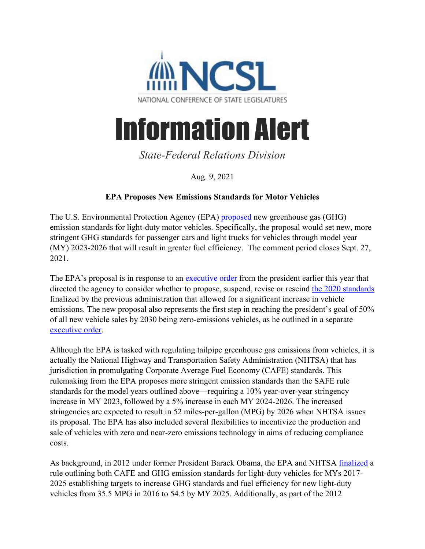

## Information Alert

## *State-Federal Relations Division*

Aug. 9, 2021

## **EPA Proposes New Emissions Standards for Motor Vehicles**

The U.S. Environmental Protection Agency (EPA) [proposed](https://www.epa.gov/system/files/documents/2021-08/ld-ghg-stndrs-nprm-2021-07-29.pdf) new greenhouse gas (GHG) emission standards for light-duty motor vehicles. Specifically, the proposal would set new, more stringent GHG standards for passenger cars and light trucks for vehicles through model year (MY) 2023-2026 that will result in greater fuel efficiency. The comment period closes Sept. 27, 2021.

The EPA's proposal is in response to an [executive order](https://www.whitehouse.gov/briefing-room/presidential-actions/2021/01/20/executive-order-protecting-public-health-and-environment-and-restoring-science-to-tackle-climate-crisis/) from the president earlier this year that directed the agency to consider whether to propose, suspend, revise or rescind [the 2020 standards](https://www.epa.gov/regulations-emissions-vehicles-and-engines/safer-affordable-fuel-efficient-safe-vehicles-final-rule) finalized by the previous administration that allowed for a significant increase in vehicle emissions. The new proposal also represents the first step in reaching the president's goal of 50% of all new vehicle sales by 2030 being zero-emissions vehicles, as he outlined in a separate [executive order.](https://www.whitehouse.gov/briefing-room/presidential-actions/2021/08/05/executive-order-on-strengthening-american-leadership-in-clean-cars-and-trucks/)

Although the EPA is tasked with regulating tailpipe greenhouse gas emissions from vehicles, it is actually the National Highway and Transportation Safety Administration (NHTSA) that has jurisdiction in promulgating Corporate Average Fuel Economy (CAFE) standards. This rulemaking from the EPA proposes more stringent emission standards than the SAFE rule standards for the model years outlined above—requiring a 10% year-over-year stringency increase in MY 2023, followed by a 5% increase in each MY 2024-2026. The increased stringencies are expected to result in 52 miles-per-gallon (MPG) by 2026 when NHTSA issues its proposal. The EPA has also included several flexibilities to incentivize the production and sale of vehicles with zero and near-zero emissions technology in aims of reducing compliance costs.

As background, in 2012 under former President Barack Obama, the EPA and NHTSA [finalized](https://one.nhtsa.gov/staticfiles/rulemaking/pdf/cafe/2017-25_CAFE_Final_Rule.pdf) a rule outlining both CAFE and GHG emission standards for light-duty vehicles for MYs 2017- 2025 establishing targets to increase GHG standards and fuel efficiency for new light-duty vehicles from 35.5 MPG in 2016 to 54.5 by MY 2025. Additionally, as part of the 2012